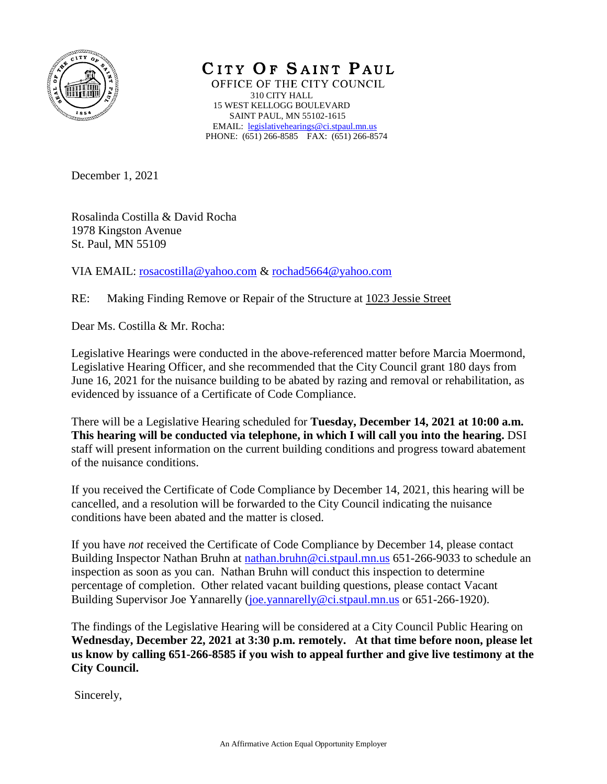

CITY OF SAINT PAUL OFFICE OF THE CITY COUNCIL 310 CITY HALL 15 WEST KELLOGG BOULEVARD SAINT PAUL, MN 55102-1615 EMAIL: [legislativehearings@ci.stpaul.mn.us](mailto:legislativehearings@ci.stpaul.mn.us) PHONE: (651) 266-8585 FAX: (651) 266-8574

December 1, 2021

Rosalinda Costilla & David Rocha 1978 Kingston Avenue St. Paul, MN 55109

VIA EMAIL: [rosacostilla@yahoo.com](mailto:rosacostilla@yahoo.com) & [rochad5664@yahoo.com](mailto:rochad5664@yahoo.com)

RE: Making Finding Remove or Repair of the Structure at 1023 Jessie Street

Dear Ms. Costilla & Mr. Rocha:

Legislative Hearings were conducted in the above-referenced matter before Marcia Moermond, Legislative Hearing Officer, and she recommended that the City Council grant 180 days from June 16, 2021 for the nuisance building to be abated by razing and removal or rehabilitation, as evidenced by issuance of a Certificate of Code Compliance.

There will be a Legislative Hearing scheduled for **Tuesday, December 14, 2021 at 10:00 a.m. This hearing will be conducted via telephone, in which I will call you into the hearing.** DSI staff will present information on the current building conditions and progress toward abatement of the nuisance conditions.

If you received the Certificate of Code Compliance by December 14, 2021, this hearing will be cancelled, and a resolution will be forwarded to the City Council indicating the nuisance conditions have been abated and the matter is closed.

If you have *not* received the Certificate of Code Compliance by December 14, please contact Building Inspector Nathan Bruhn at [nathan.bruhn@ci.stpaul.mn.us](mailto:nathan.bruhn@ci.stpaul.mn.us) 651-266-9033 to schedule an inspection as soon as you can. Nathan Bruhn will conduct this inspection to determine percentage of completion. Other related vacant building questions, please contact Vacant Building Supervisor Joe Yannarelly [\(joe.yannarelly@ci.stpaul.mn.us](mailto:joe.yannarelly@ci.stpaul.mn.us) or 651-266-1920).

The findings of the Legislative Hearing will be considered at a City Council Public Hearing on **Wednesday, December 22, 2021 at 3:30 p.m. remotely. At that time before noon, please let us know by calling 651-266-8585 if you wish to appeal further and give live testimony at the City Council.** 

Sincerely,